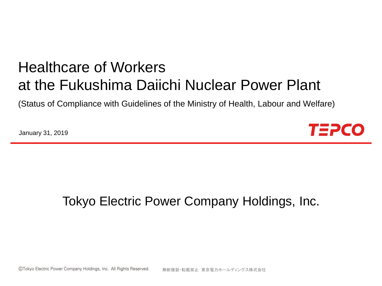# Healthcare of Workers at the Fukushima Daiichi Nuclear Power Plant

(Status of Compliance with Guidelines of the Ministry of Health, Labour and Welfare)

January 31, 2019



## Tokyo Electric Power Company Holdings, Inc.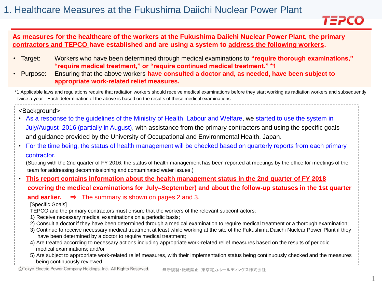

#### **As measures for the healthcare of the workers at the Fukushima Daiichi Nuclear Power Plant, the primary contractors and TEPCO have established and are using a system to address the following workers.**

- Target: Workers who have been determined through medical examinations to **"require thorough examinations," "require medical treatment," or "require continued medical treatment." \*1**
- Purpose: Ensuring that the above workers **have consulted a doctor and, as needed, have been subject to appropriate work-related relief measures.**

\*1 Applicable laws and regulations require that radiation workers should receive medical examinations before they start working as radiation workers and subsequently twice a year. Each determination of the above is based on the results of these medical examinations.

<Background>

- As a response to the guidelines of the Ministry of Health, Labour and Welfare, we started to use the system in July/August 2016 (partially in August), with assistance from the primary contractors and using the specific goals and guidance provided by the University of Occupational and Environmental Health, Japan.
- For the time being, the status of health management will be checked based on quarterly reports from each primary contractor.

(Starting with the 2nd quarter of FY 2016, the status of health management has been reported at meetings by the office for meetings of the team for addressing decommissioning and contaminated water issues.)

• **This report contains information about the health management status in the 2nd quarter of FY 2018 covering the medical examinations for July–September) and about the follow-up statuses in the 1st quarter** 

**and earlier.** ⇒ The summary is shown on pages 2 and 3.

**[Specific Goals]** 

TEPCO and the primary contractors must ensure that the workers of the relevant subcontractors:

- 1) Receive necessary medical examinations on a periodic basis;
- 2) Consult a doctor if they have been determined through a medical examination to require medical treatment or a thorough examination;
- 3) Continue to receive necessary medical treatment at least while working at the site of the Fukushima Daiichi Nuclear Power Plant if they have been determined by a doctor to require medical treatment;
- 4) Are treated according to necessary actions including appropriate work-related relief measures based on the results of periodic medical examinations; and/or
- 5) Are subject to appropriate work-related relief measures, with their implementation status being continuously checked and the measures being continuously reviewed.

©Tokyo Electric Power Company Holdings, Inc. All Rights Reserved.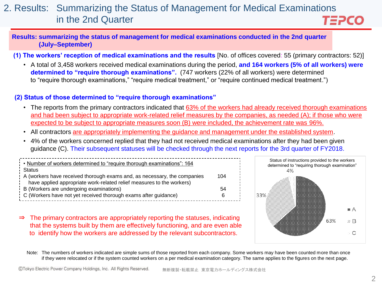#### 2. Results: Summarizing the Status of Management for Medical Examinations in the 2nd Quarter TEPCO

#### **Results: summarizing the status of management for medical examinations conducted in the 2nd quarter (July–September)**

**(1) The workers' reception of medical examinations and the results** [No. of offices covered: 55 (primary contractors: 52)]

• A total of 3,458 workers received medical examinations during the period, **and 164 workers (5% of all workers) were determined to "require thorough examinations".** (747 workers (22% of all workers) were determined to "require thorough examinations," "require medical treatment," or "require continued medical treatment.")

#### **(2) Status of those determined to "require thorough examinations"**

- The reports from the primary contractors indicated that 63% of the workers had already received thorough examinations and had been subject to appropriate work-related relief measures by the companies, as needed (A); if those who were expected to be subject to appropriate measures soon (B) were included, the achievement rate was 96%.
- All contractors are appropriately implementing the guidance and management under the established system.
- 4% of the workers concerned replied that they had not received medical examinations after they had been given guidance (C). Their subsequent statuses will be checked through the next reports for the 3rd quarter of FY2018.

| Number of workers determined to "require thorough examinations": 164     |     |
|--------------------------------------------------------------------------|-----|
| Status <sup>1</sup>                                                      |     |
| A (workers have received thorough exams and, as necessary, the companies | 104 |
| have applied appropriate work-related relief measures to the workers)    |     |
| $\frac{1}{2}$ B (Workers are undergoing examinations)                    | 54  |
| C (Workers have not yet received thorough exams after guidance)          | 6.  |
|                                                                          |     |

⇒ The primary contractors are appropriately reporting the statuses, indicating that the systems built by them are effectively functioning, and are even able to identify how the workers are addressed by the relevant subcontractors.



Note: The numbers of workers indicated are simple sums of those reported from each company. Some workers may have been counted more than once if they were relocated or if the system counted workers on a per medical examination category. The same applies to the figures on the next page.